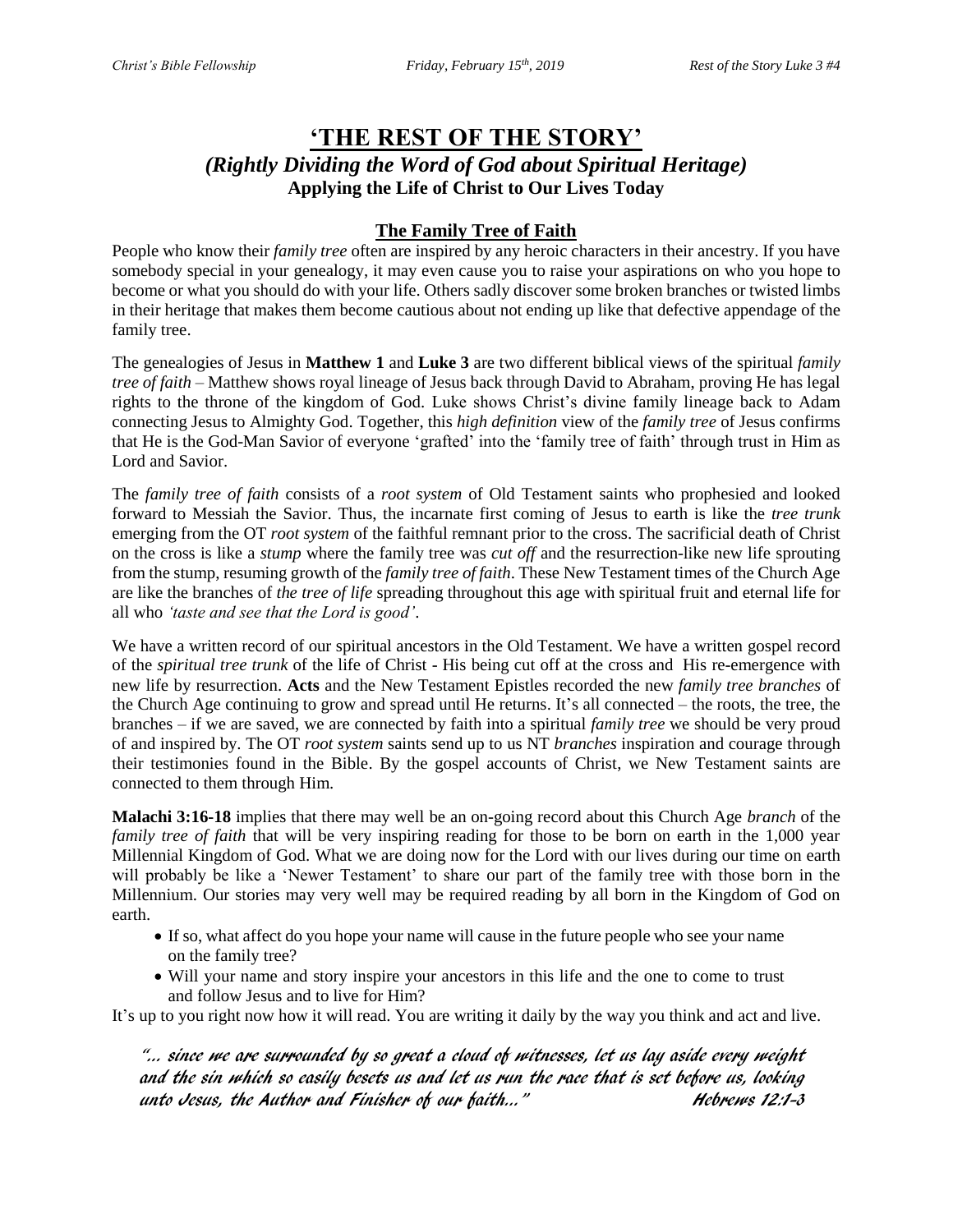# **'THE REST OF THE STORY'** *(Rightly Dividing the Word of God about Spiritual Heritage)* **Applying the Life of Christ to Our Lives Today**

## **The Family Tree of Faith**

People who know their *family tree* often are inspired by any heroic characters in their ancestry. If you have somebody special in your genealogy, it may even cause you to raise your aspirations on who you hope to become or what you should do with your life. Others sadly discover some broken branches or twisted limbs in their heritage that makes them become cautious about not ending up like that defective appendage of the family tree.

The genealogies of Jesus in **Matthew 1** and **Luke 3** are two different biblical views of the spiritual *family tree of faith* – Matthew shows royal lineage of Jesus back through David to Abraham, proving He has legal rights to the throne of the kingdom of God. Luke shows Christ's divine family lineage back to Adam connecting Jesus to Almighty God. Together, this *high definition* view of the *family tree* of Jesus confirms that He is the God-Man Savior of everyone 'grafted' into the 'family tree of faith' through trust in Him as Lord and Savior.

The *family tree of faith* consists of a *root system* of Old Testament saints who prophesied and looked forward to Messiah the Savior. Thus, the incarnate first coming of Jesus to earth is like the *tree trunk*  emerging from the OT *root system* of the faithful remnant prior to the cross. The sacrificial death of Christ on the cross is like a *stump* where the family tree was *cut off* and the resurrection-like new life sprouting from the stump, resuming growth of the *family tree of faith*. These New Testament times of the Church Age are like the branches of *the tree of life* spreading throughout this age with spiritual fruit and eternal life for all who *'taste and see that the Lord is good'*.

We have a written record of our spiritual ancestors in the Old Testament. We have a written gospel record of the *spiritual tree trunk* of the life of Christ - His being cut off at the cross and His re-emergence with new life by resurrection. **Acts** and the New Testament Epistles recorded the new *family tree branches* of the Church Age continuing to grow and spread until He returns. It's all connected – the roots, the tree, the branches – if we are saved, we are connected by faith into a spiritual *family tree* we should be very proud of and inspired by. The OT *root system* saints send up to us NT *branches* inspiration and courage through their testimonies found in the Bible. By the gospel accounts of Christ, we New Testament saints are connected to them through Him.

**Malachi 3:16-18** implies that there may well be an on-going record about this Church Age *branch* of the *family tree of faith* that will be very inspiring reading for those to be born on earth in the 1,000 year Millennial Kingdom of God. What we are doing now for the Lord with our lives during our time on earth will probably be like a 'Newer Testament' to share our part of the family tree with those born in the Millennium. Our stories may very well may be required reading by all born in the Kingdom of God on earth.

- If so, what affect do you hope your name will cause in the future people who see your name on the family tree?
- Will your name and story inspire your ancestors in this life and the one to come to trust and follow Jesus and to live for Him?

It's up to you right now how it will read. You are writing it daily by the way you think and act and live.

"… since we are surrounded by so great a cloud of witnesses, let us lay aside every weight and the sin which so easily besets us and let us run the race that is set before us, looking unto Jesus, the Author and Finisher of our faith..." Hebrews 12:1-3